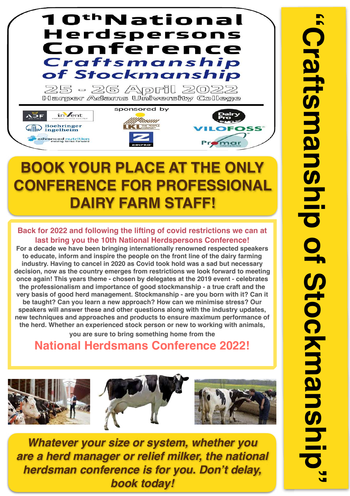

## **BOOK YOUR PLACE AT THE CONFERENCE FOR PROFESSIONAL DAIRY FARM STAFF!**

**Back for 2022 and following the lifting of covid restrictions we can at last bring you the 10th National Herdspersons Conference!** 

**For a decade we have been bringing internationally renowned respected speakers to educate, inform and inspire the people on the front line of the dairy farming industry. Having to cancel in 2020 as Covid took hold was a sad but necessary decision, now as the country emerges from restrictions we look forward to meeting once again! This years theme - chosen by delegates at the 2019 event - celebrates the professionalism and importance of good stockmanship - a true craft and the very basis of good herd management. Stockmanship - are you born with it? Can it be taught? Can you learn a new approach? How can we minimise stress? Our speakers will answer these and other questions along with the industry updates, new techniques and approaches and products to ensure maximum performance of the herd. Whether an experienced stock person or new to working with animals, you are sure to bring something home from the** 

**National Herdsmans Conference 2022!**



*Whatever your size or system, whether you are a herd manager or relief milker, the national herdsman conference is for you. Don't delay, book today!*